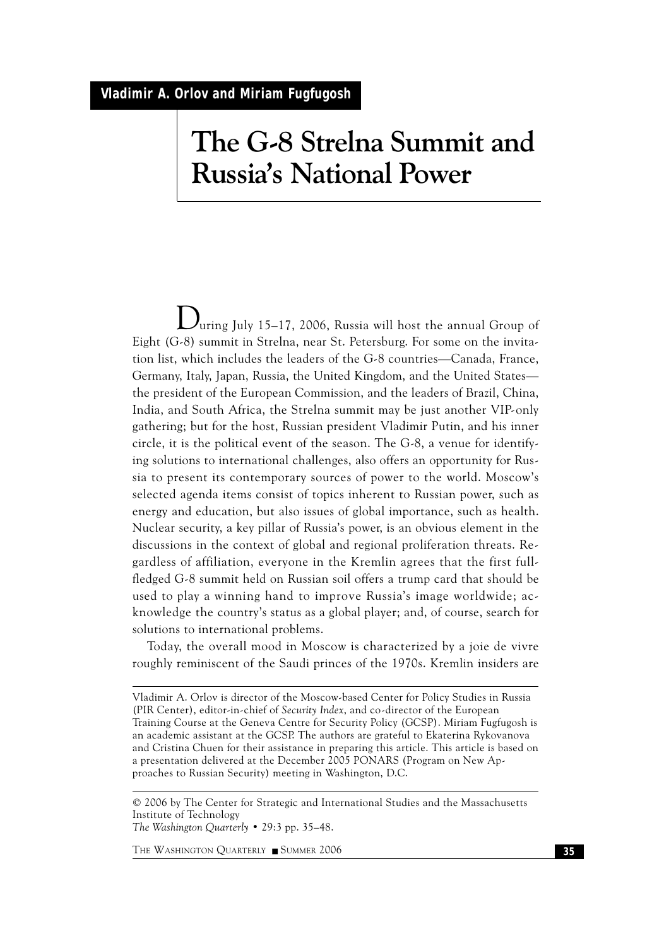# **The G-8 Strelna Summit and Russia's National Power**

 $J_{\rm{uring\ Iuly}}$  15–17, 2006, Russia will host the annual Group of Eight (G-8) summit in Strelna, near St. Petersburg. For some on the invitation list, which includes the leaders of the G-8 countries—Canada, France, Germany, Italy, Japan, Russia, the United Kingdom, and the United States the president of the European Commission, and the leaders of Brazil, China, India, and South Africa, the Strelna summit may be just another VIP-only gathering; but for the host, Russian president Vladimir Putin, and his inner circle, it is the political event of the season. The G-8, a venue for identifying solutions to international challenges, also offers an opportunity for Russia to present its contemporary sources of power to the world. Moscow's selected agenda items consist of topics inherent to Russian power, such as energy and education, but also issues of global importance, such as health. Nuclear security, a key pillar of Russia's power, is an obvious element in the discussions in the context of global and regional proliferation threats. Regardless of affiliation, everyone in the Kremlin agrees that the first fullfledged G-8 summit held on Russian soil offers a trump card that should be used to play a winning hand to improve Russia's image worldwide; acknowledge the country's status as a global player; and, of course, search for solutions to international problems.

Today, the overall mood in Moscow is characterized by a joie de vivre roughly reminiscent of the Saudi princes of the 1970s. Kremlin insiders are

THE WASHINGTON QUARTERLY ■ SUMMER 2006 **35**

Vladimir A. Orlov is director of the Moscow-based Center for Policy Studies in Russia (PIR Center), editor-in-chief of *Security Index*, and co-director of the European Training Course at the Geneva Centre for Security Policy (GCSP). Miriam Fugfugosh is an academic assistant at the GCSP. The authors are grateful to Ekaterina Rykovanova and Cristina Chuen for their assistance in preparing this article. This article is based on a presentation delivered at the December 2005 PONARS (Program on New Approaches to Russian Security) meeting in Washington, D.C.

<sup>© 2006</sup> by The Center for Strategic and International Studies and the Massachusetts Institute of Technology

*The Washington Quarterly* • 29:3 pp. 35–48.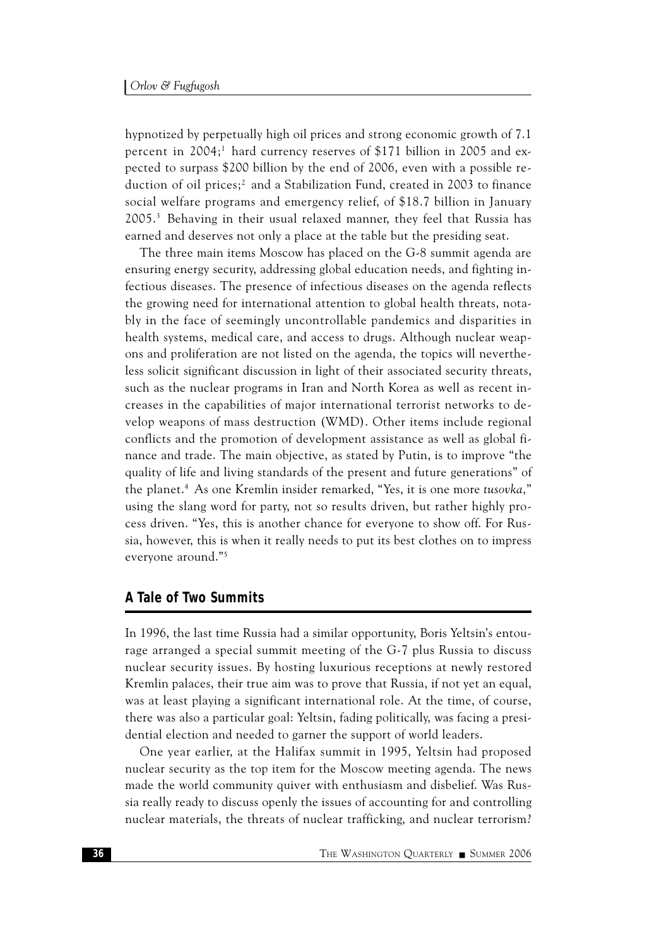hypnotized by perpetually high oil prices and strong economic growth of 7.1 percent in  $2004$ ;<sup>1</sup> hard currency reserves of \$171 billion in 2005 and expected to surpass \$200 billion by the end of 2006, even with a possible reduction of oil prices;<sup>2</sup> and a Stabilization Fund, created in 2003 to finance social welfare programs and emergency relief, of \$18.7 billion in January 2005.3 Behaving in their usual relaxed manner, they feel that Russia has earned and deserves not only a place at the table but the presiding seat.

The three main items Moscow has placed on the G-8 summit agenda are ensuring energy security, addressing global education needs, and fighting infectious diseases. The presence of infectious diseases on the agenda reflects the growing need for international attention to global health threats, notably in the face of seemingly uncontrollable pandemics and disparities in health systems, medical care, and access to drugs. Although nuclear weapons and proliferation are not listed on the agenda, the topics will nevertheless solicit significant discussion in light of their associated security threats, such as the nuclear programs in Iran and North Korea as well as recent increases in the capabilities of major international terrorist networks to develop weapons of mass destruction (WMD). Other items include regional conflicts and the promotion of development assistance as well as global finance and trade. The main objective, as stated by Putin, is to improve "the quality of life and living standards of the present and future generations" of the planet.4 As one Kremlin insider remarked, "Yes, it is one more *tusovka*," using the slang word for party, not so results driven, but rather highly process driven. "Yes, this is another chance for everyone to show off. For Russia, however, this is when it really needs to put its best clothes on to impress everyone around."5

## **A Tale of Two Summits**

In 1996, the last time Russia had a similar opportunity, Boris Yeltsin's entourage arranged a special summit meeting of the G-7 plus Russia to discuss nuclear security issues. By hosting luxurious receptions at newly restored Kremlin palaces, their true aim was to prove that Russia, if not yet an equal, was at least playing a significant international role. At the time, of course, there was also a particular goal: Yeltsin, fading politically, was facing a presidential election and needed to garner the support of world leaders.

One year earlier, at the Halifax summit in 1995, Yeltsin had proposed nuclear security as the top item for the Moscow meeting agenda. The news made the world community quiver with enthusiasm and disbelief. Was Russia really ready to discuss openly the issues of accounting for and controlling nuclear materials, the threats of nuclear trafficking, and nuclear terrorism?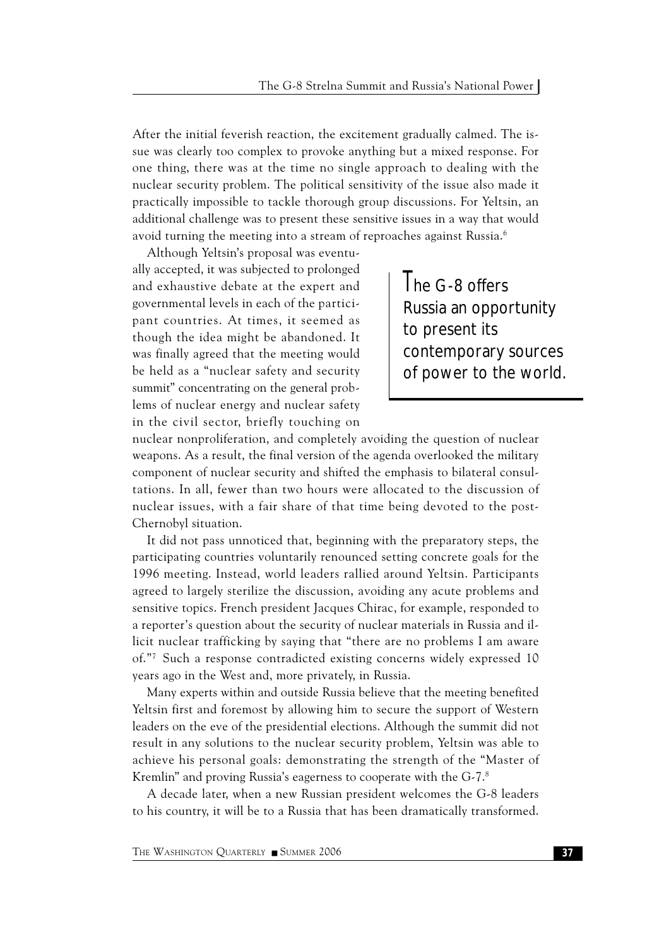After the initial feverish reaction, the excitement gradually calmed. The issue was clearly too complex to provoke anything but a mixed response. For one thing, there was at the time no single approach to dealing with the nuclear security problem. The political sensitivity of the issue also made it practically impossible to tackle thorough group discussions. For Yeltsin, an additional challenge was to present these sensitive issues in a way that would avoid turning the meeting into a stream of reproaches against Russia.<sup>6</sup>

Although Yeltsin's proposal was eventually accepted, it was subjected to prolonged and exhaustive debate at the expert and governmental levels in each of the participant countries. At times, it seemed as though the idea might be abandoned. It was finally agreed that the meeting would be held as a "nuclear safety and security summit" concentrating on the general problems of nuclear energy and nuclear safety in the civil sector, briefly touching on

I he G-8 offers Russia an opportunity to present its contemporary sources of power to the world.

nuclear nonproliferation, and completely avoiding the question of nuclear weapons. As a result, the final version of the agenda overlooked the military component of nuclear security and shifted the emphasis to bilateral consultations. In all, fewer than two hours were allocated to the discussion of nuclear issues, with a fair share of that time being devoted to the post-Chernobyl situation.

It did not pass unnoticed that, beginning with the preparatory steps, the participating countries voluntarily renounced setting concrete goals for the 1996 meeting. Instead, world leaders rallied around Yeltsin. Participants agreed to largely sterilize the discussion, avoiding any acute problems and sensitive topics. French president Jacques Chirac, for example, responded to a reporter's question about the security of nuclear materials in Russia and illicit nuclear trafficking by saying that "there are no problems I am aware of."7 Such a response contradicted existing concerns widely expressed 10 years ago in the West and, more privately, in Russia.

Many experts within and outside Russia believe that the meeting benefited Yeltsin first and foremost by allowing him to secure the support of Western leaders on the eve of the presidential elections. Although the summit did not result in any solutions to the nuclear security problem, Yeltsin was able to achieve his personal goals: demonstrating the strength of the "Master of Kremlin" and proving Russia's eagerness to cooperate with the G-7.8

A decade later, when a new Russian president welcomes the G-8 leaders to his country, it will be to a Russia that has been dramatically transformed.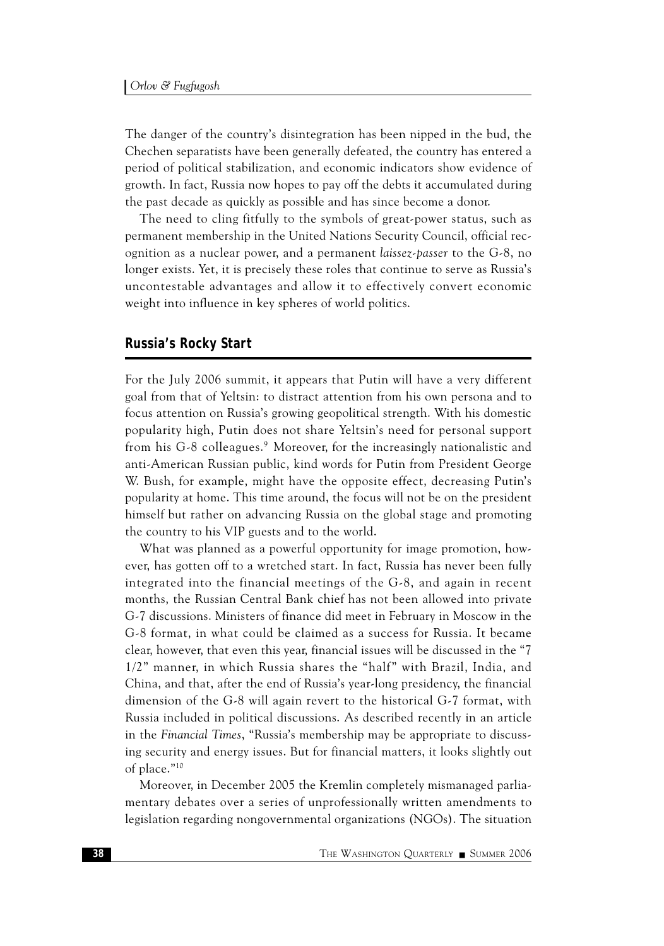The danger of the country's disintegration has been nipped in the bud, the Chechen separatists have been generally defeated, the country has entered a period of political stabilization, and economic indicators show evidence of growth. In fact, Russia now hopes to pay off the debts it accumulated during the past decade as quickly as possible and has since become a donor.

The need to cling fitfully to the symbols of great-power status, such as permanent membership in the United Nations Security Council, official recognition as a nuclear power, and a permanent *laissez-passer* to the G-8, no longer exists. Yet, it is precisely these roles that continue to serve as Russia's uncontestable advantages and allow it to effectively convert economic weight into influence in key spheres of world politics.

## **Russia's Rocky Start**

For the July 2006 summit, it appears that Putin will have a very different goal from that of Yeltsin: to distract attention from his own persona and to focus attention on Russia's growing geopolitical strength. With his domestic popularity high, Putin does not share Yeltsin's need for personal support from his G-8 colleagues.9 Moreover, for the increasingly nationalistic and anti-American Russian public, kind words for Putin from President George W. Bush, for example, might have the opposite effect, decreasing Putin's popularity at home. This time around, the focus will not be on the president himself but rather on advancing Russia on the global stage and promoting the country to his VIP guests and to the world.

What was planned as a powerful opportunity for image promotion, however, has gotten off to a wretched start. In fact, Russia has never been fully integrated into the financial meetings of the G-8, and again in recent months, the Russian Central Bank chief has not been allowed into private G-7 discussions. Ministers of finance did meet in February in Moscow in the G-8 format, in what could be claimed as a success for Russia. It became clear, however, that even this year, financial issues will be discussed in the "7  $1/2$ " manner, in which Russia shares the "half" with Brazil, India, and China, and that, after the end of Russia's year-long presidency, the financial dimension of the G-8 will again revert to the historical G-7 format, with Russia included in political discussions. As described recently in an article in the *Financial Times*, "Russia's membership may be appropriate to discussing security and energy issues. But for financial matters, it looks slightly out of place."10

Moreover, in December 2005 the Kremlin completely mismanaged parliamentary debates over a series of unprofessionally written amendments to legislation regarding nongovernmental organizations (NGOs). The situation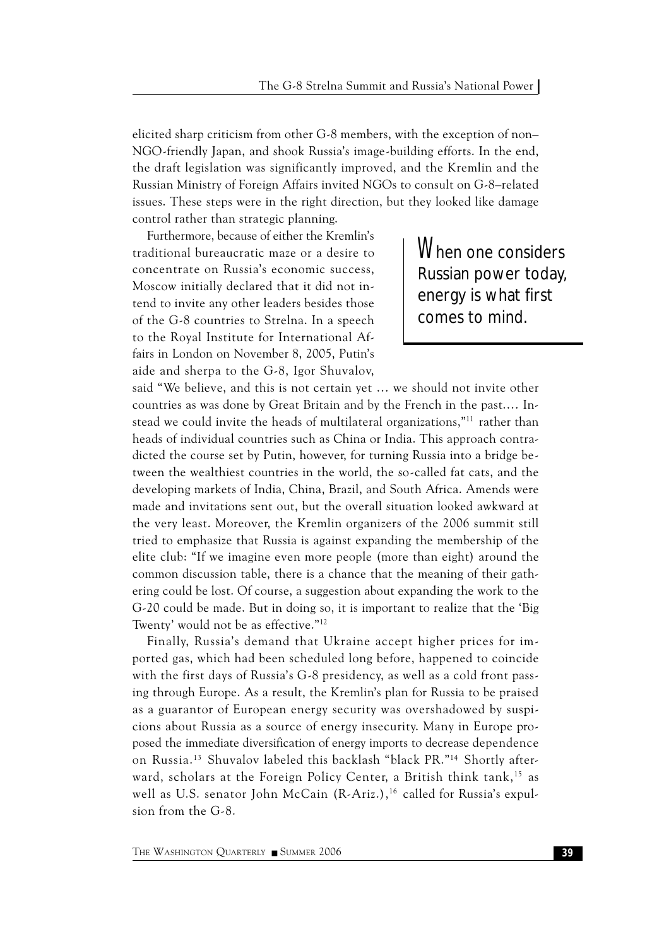elicited sharp criticism from other G-8 members, with the exception of non– NGO-friendly Japan, and shook Russia's image-building efforts. In the end, the draft legislation was significantly improved, and the Kremlin and the Russian Ministry of Foreign Affairs invited NGOs to consult on G-8–related issues. These steps were in the right direction, but they looked like damage control rather than strategic planning.

Furthermore, because of either the Kremlin's traditional bureaucratic maze or a desire to concentrate on Russia's economic success, Moscow initially declared that it did not intend to invite any other leaders besides those of the G-8 countries to Strelna. In a speech to the Royal Institute for International Affairs in London on November 8, 2005, Putin's aide and sherpa to the G-8, Igor Shuvalov,

When one considers Russian power today, energy is what first comes to mind.

said "We believe, and this is not certain yet … we should not invite other countries as was done by Great Britain and by the French in the past.… Instead we could invite the heads of multilateral organizations,"11 rather than heads of individual countries such as China or India. This approach contradicted the course set by Putin, however, for turning Russia into a bridge between the wealthiest countries in the world, the so-called fat cats, and the developing markets of India, China, Brazil, and South Africa. Amends were made and invitations sent out, but the overall situation looked awkward at the very least. Moreover, the Kremlin organizers of the 2006 summit still tried to emphasize that Russia is against expanding the membership of the elite club: "If we imagine even more people (more than eight) around the common discussion table, there is a chance that the meaning of their gathering could be lost. Of course, a suggestion about expanding the work to the G-20 could be made. But in doing so, it is important to realize that the 'Big Twenty' would not be as effective."12

Finally, Russia's demand that Ukraine accept higher prices for imported gas, which had been scheduled long before, happened to coincide with the first days of Russia's G-8 presidency, as well as a cold front passing through Europe. As a result, the Kremlin's plan for Russia to be praised as a guarantor of European energy security was overshadowed by suspicions about Russia as a source of energy insecurity. Many in Europe proposed the immediate diversification of energy imports to decrease dependence on Russia.13 Shuvalov labeled this backlash "black PR."14 Shortly afterward, scholars at the Foreign Policy Center, a British think tank,<sup>15</sup> as well as U.S. senator John McCain (R-Ariz.),<sup>16</sup> called for Russia's expulsion from the G-8.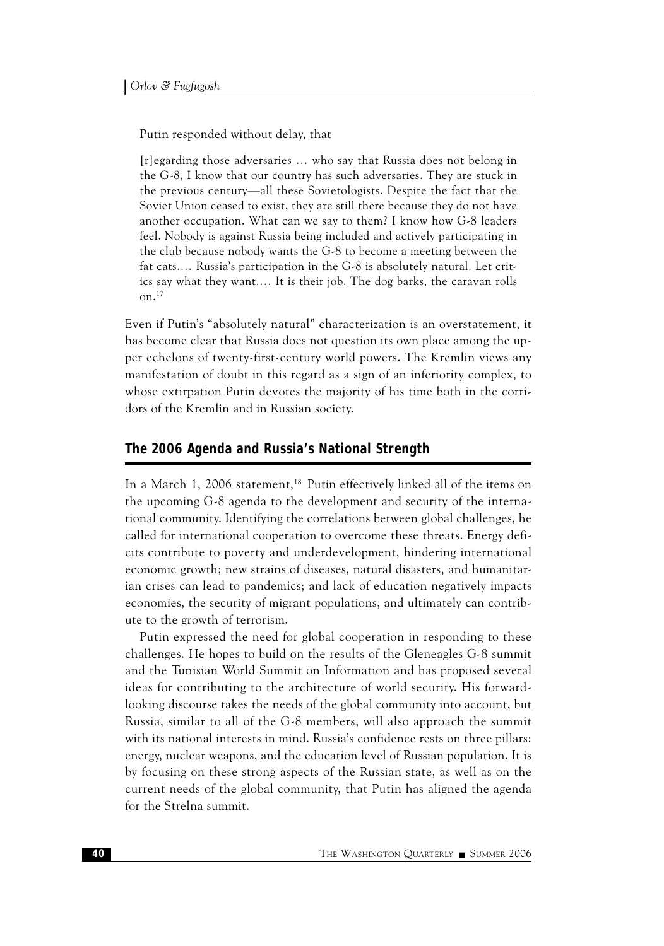Putin responded without delay, that

[r]egarding those adversaries … who say that Russia does not belong in the G-8, I know that our country has such adversaries. They are stuck in the previous century—all these Sovietologists. Despite the fact that the Soviet Union ceased to exist, they are still there because they do not have another occupation. What can we say to them? I know how G-8 leaders feel. Nobody is against Russia being included and actively participating in the club because nobody wants the G-8 to become a meeting between the fat cats.… Russia's participation in the G-8 is absolutely natural. Let critics say what they want.… It is their job. The dog barks, the caravan rolls  $on.<sup>17</sup>$ 

Even if Putin's "absolutely natural" characterization is an overstatement, it has become clear that Russia does not question its own place among the upper echelons of twenty-first-century world powers. The Kremlin views any manifestation of doubt in this regard as a sign of an inferiority complex, to whose extirpation Putin devotes the majority of his time both in the corridors of the Kremlin and in Russian society.

## **The 2006 Agenda and Russia's National Strength**

In a March 1, 2006 statement,<sup>18</sup> Putin effectively linked all of the items on the upcoming G-8 agenda to the development and security of the international community. Identifying the correlations between global challenges, he called for international cooperation to overcome these threats. Energy deficits contribute to poverty and underdevelopment, hindering international economic growth; new strains of diseases, natural disasters, and humanitarian crises can lead to pandemics; and lack of education negatively impacts economies, the security of migrant populations, and ultimately can contribute to the growth of terrorism.

Putin expressed the need for global cooperation in responding to these challenges. He hopes to build on the results of the Gleneagles G-8 summit and the Tunisian World Summit on Information and has proposed several ideas for contributing to the architecture of world security. His forwardlooking discourse takes the needs of the global community into account, but Russia, similar to all of the G-8 members, will also approach the summit with its national interests in mind. Russia's confidence rests on three pillars: energy, nuclear weapons, and the education level of Russian population. It is by focusing on these strong aspects of the Russian state, as well as on the current needs of the global community, that Putin has aligned the agenda for the Strelna summit.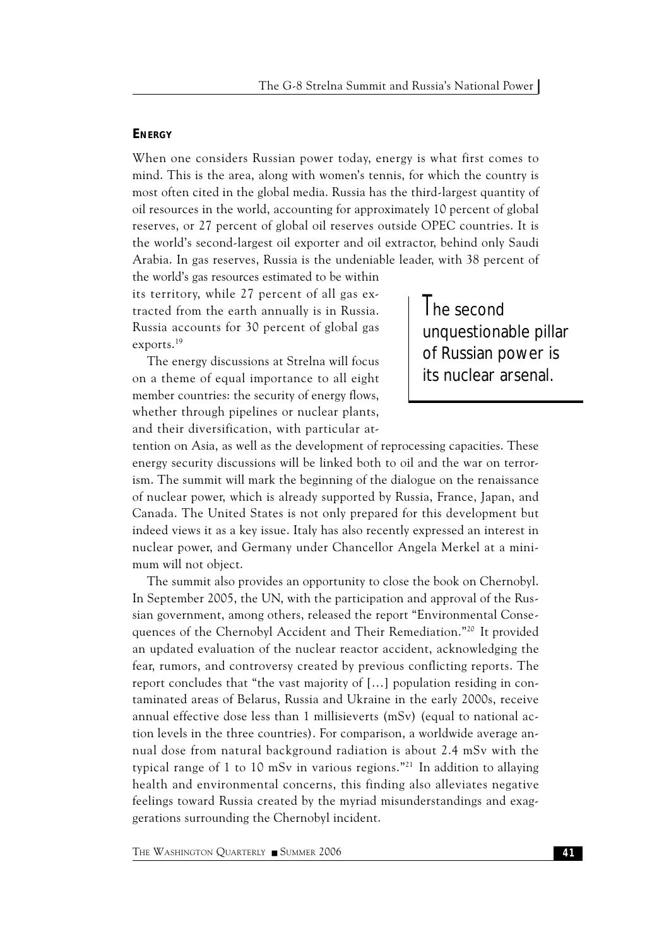## **ENERGY**

When one considers Russian power today, energy is what first comes to mind. This is the area, along with women's tennis, for which the country is most often cited in the global media. Russia has the third-largest quantity of oil resources in the world, accounting for approximately 10 percent of global reserves, or 27 percent of global oil reserves outside OPEC countries. It is the world's second-largest oil exporter and oil extractor, behind only Saudi Arabia. In gas reserves, Russia is the undeniable leader, with 38 percent of

the world's gas resources estimated to be within its territory, while 27 percent of all gas extracted from the earth annually is in Russia. Russia accounts for 30 percent of global gas exports.<sup>19</sup>

The energy discussions at Strelna will focus on a theme of equal importance to all eight member countries: the security of energy flows, whether through pipelines or nuclear plants, and their diversification, with particular at-

I he second unquestionable pillar of Russian power is its nuclear arsenal.

tention on Asia, as well as the development of reprocessing capacities. These energy security discussions will be linked both to oil and the war on terrorism. The summit will mark the beginning of the dialogue on the renaissance of nuclear power, which is already supported by Russia, France, Japan, and Canada. The United States is not only prepared for this development but indeed views it as a key issue. Italy has also recently expressed an interest in nuclear power, and Germany under Chancellor Angela Merkel at a minimum will not object.

The summit also provides an opportunity to close the book on Chernobyl. In September 2005, the UN, with the participation and approval of the Russian government, among others, released the report "Environmental Consequences of the Chernobyl Accident and Their Remediation."20 It provided an updated evaluation of the nuclear reactor accident, acknowledging the fear, rumors, and controversy created by previous conflicting reports. The report concludes that "the vast majority of […] population residing in contaminated areas of Belarus, Russia and Ukraine in the early 2000s, receive annual effective dose less than 1 millisieverts (mSv) (equal to national action levels in the three countries). For comparison, a worldwide average annual dose from natural background radiation is about 2.4 mSv with the typical range of 1 to 10 mSv in various regions."<sup>21</sup> In addition to allaying health and environmental concerns, this finding also alleviates negative feelings toward Russia created by the myriad misunderstandings and exaggerations surrounding the Chernobyl incident.

THE WASHINGTON QUARTERLY **BUMMER 2006**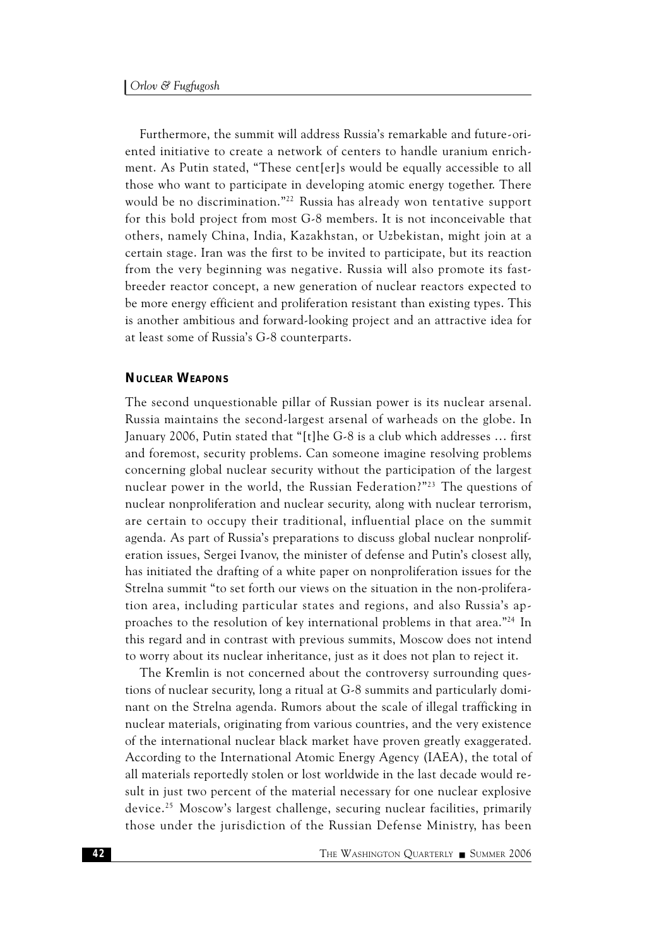Furthermore, the summit will address Russia's remarkable and future-oriented initiative to create a network of centers to handle uranium enrichment. As Putin stated, "These cent[er]s would be equally accessible to all those who want to participate in developing atomic energy together. There would be no discrimination."<sup>22</sup> Russia has already won tentative support for this bold project from most G-8 members. It is not inconceivable that others, namely China, India, Kazakhstan, or Uzbekistan, might join at a certain stage. Iran was the first to be invited to participate, but its reaction from the very beginning was negative. Russia will also promote its fastbreeder reactor concept, a new generation of nuclear reactors expected to be more energy efficient and proliferation resistant than existing types. This is another ambitious and forward-looking project and an attractive idea for at least some of Russia's G-8 counterparts.

#### **NUCLEAR WEAPONS**

The second unquestionable pillar of Russian power is its nuclear arsenal. Russia maintains the second-largest arsenal of warheads on the globe. In January 2006, Putin stated that "[t]he G-8 is a club which addresses … first and foremost, security problems. Can someone imagine resolving problems concerning global nuclear security without the participation of the largest nuclear power in the world, the Russian Federation?"23 The questions of nuclear nonproliferation and nuclear security, along with nuclear terrorism, are certain to occupy their traditional, influential place on the summit agenda. As part of Russia's preparations to discuss global nuclear nonproliferation issues, Sergei Ivanov, the minister of defense and Putin's closest ally, has initiated the drafting of a white paper on nonproliferation issues for the Strelna summit "to set forth our views on the situation in the non-proliferation area, including particular states and regions, and also Russia's approaches to the resolution of key international problems in that area."24 In this regard and in contrast with previous summits, Moscow does not intend to worry about its nuclear inheritance, just as it does not plan to reject it.

The Kremlin is not concerned about the controversy surrounding questions of nuclear security, long a ritual at G-8 summits and particularly dominant on the Strelna agenda. Rumors about the scale of illegal trafficking in nuclear materials, originating from various countries, and the very existence of the international nuclear black market have proven greatly exaggerated. According to the International Atomic Energy Agency (IAEA), the total of all materials reportedly stolen or lost worldwide in the last decade would result in just two percent of the material necessary for one nuclear explosive device.25 Moscow's largest challenge, securing nuclear facilities, primarily those under the jurisdiction of the Russian Defense Ministry, has been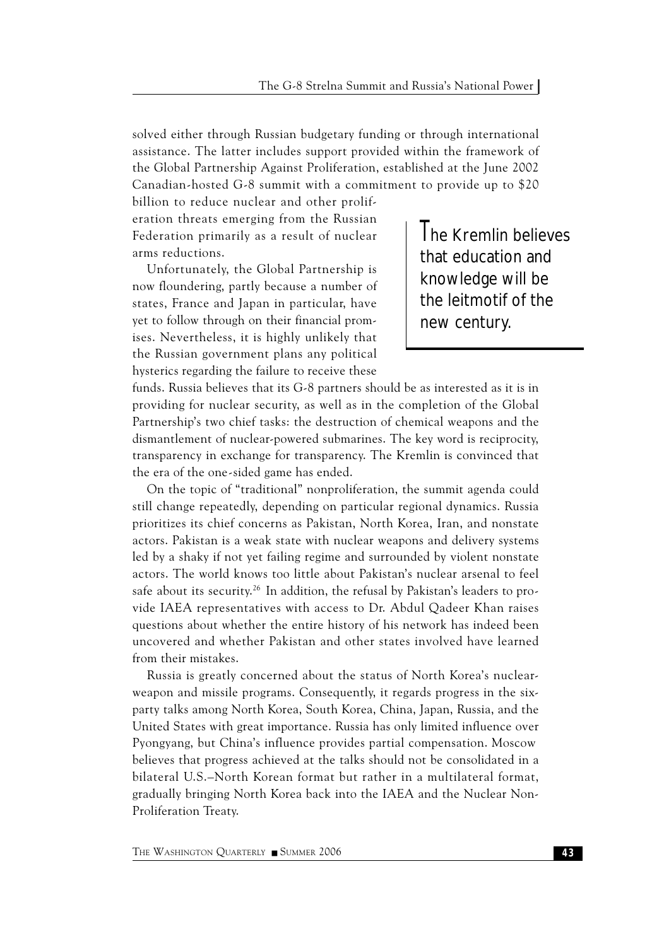solved either through Russian budgetary funding or through international assistance. The latter includes support provided within the framework of the Global Partnership Against Proliferation, established at the June 2002 Canadian-hosted G-8 summit with a commitment to provide up to \$20

billion to reduce nuclear and other proliferation threats emerging from the Russian Federation primarily as a result of nuclear arms reductions.

Unfortunately, the Global Partnership is now floundering, partly because a number of states, France and Japan in particular, have yet to follow through on their financial promises. Nevertheless, it is highly unlikely that the Russian government plans any political hysterics regarding the failure to receive these

The Kremlin believes that education and knowledge will be the leitmotif of the new century.

funds. Russia believes that its G-8 partners should be as interested as it is in providing for nuclear security, as well as in the completion of the Global Partnership's two chief tasks: the destruction of chemical weapons and the dismantlement of nuclear-powered submarines. The key word is reciprocity, transparency in exchange for transparency. The Kremlin is convinced that the era of the one-sided game has ended.

On the topic of "traditional" nonproliferation, the summit agenda could still change repeatedly, depending on particular regional dynamics. Russia prioritizes its chief concerns as Pakistan, North Korea, Iran, and nonstate actors. Pakistan is a weak state with nuclear weapons and delivery systems led by a shaky if not yet failing regime and surrounded by violent nonstate actors. The world knows too little about Pakistan's nuclear arsenal to feel safe about its security.<sup>26</sup> In addition, the refusal by Pakistan's leaders to provide IAEA representatives with access to Dr. Abdul Qadeer Khan raises questions about whether the entire history of his network has indeed been uncovered and whether Pakistan and other states involved have learned from their mistakes.

Russia is greatly concerned about the status of North Korea's nuclearweapon and missile programs. Consequently, it regards progress in the sixparty talks among North Korea, South Korea, China, Japan, Russia, and the United States with great importance. Russia has only limited influence over Pyongyang, but China's influence provides partial compensation. Moscow believes that progress achieved at the talks should not be consolidated in a bilateral U.S.–North Korean format but rather in a multilateral format, gradually bringing North Korea back into the IAEA and the Nuclear Non-Proliferation Treaty.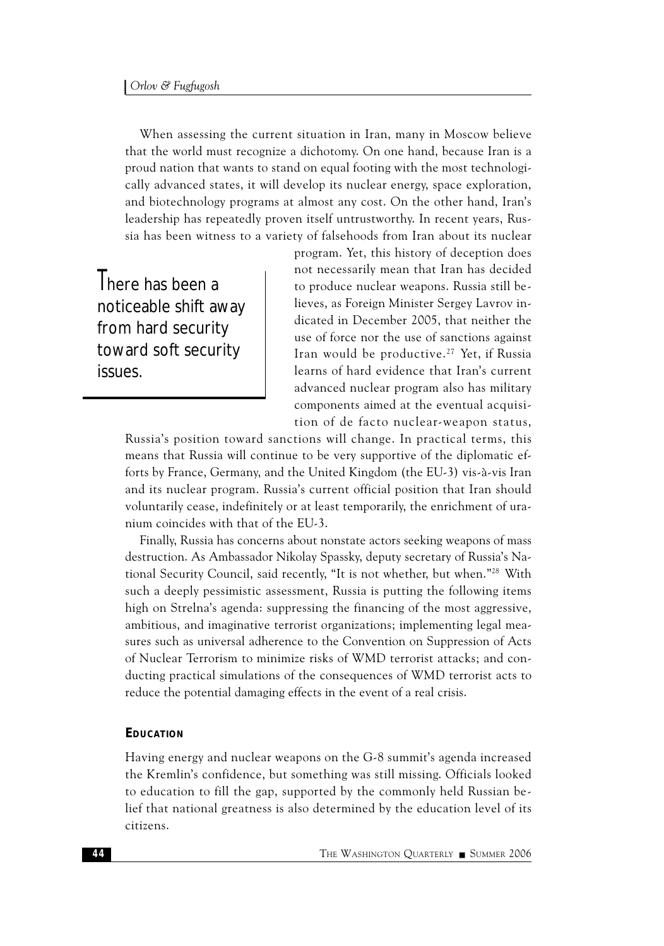When assessing the current situation in Iran, many in Moscow believe that the world must recognize a dichotomy. On one hand, because Iran is a proud nation that wants to stand on equal footing with the most technologically advanced states, it will develop its nuclear energy, space exploration, and biotechnology programs at almost any cost. On the other hand, Iran's leadership has repeatedly proven itself untrustworthy. In recent years, Russia has been witness to a variety of falsehoods from Iran about its nuclear

There has been a noticeable shift away from hard security toward soft security issues.

program. Yet, this history of deception does not necessarily mean that Iran has decided to produce nuclear weapons. Russia still believes, as Foreign Minister Sergey Lavrov indicated in December 2005, that neither the use of force nor the use of sanctions against Iran would be productive.<sup>27</sup> Yet, if Russia learns of hard evidence that Iran's current advanced nuclear program also has military components aimed at the eventual acquisition of de facto nuclear-weapon status,

Russia's position toward sanctions will change. In practical terms, this means that Russia will continue to be very supportive of the diplomatic efforts by France, Germany, and the United Kingdom (the EU-3) vis-à-vis Iran and its nuclear program. Russia's current official position that Iran should voluntarily cease, indefinitely or at least temporarily, the enrichment of uranium coincides with that of the EU-3.

Finally, Russia has concerns about nonstate actors seeking weapons of mass destruction. As Ambassador Nikolay Spassky, deputy secretary of Russia's National Security Council, said recently, "It is not whether, but when."28 With such a deeply pessimistic assessment, Russia is putting the following items high on Strelna's agenda: suppressing the financing of the most aggressive, ambitious, and imaginative terrorist organizations; implementing legal measures such as universal adherence to the Convention on Suppression of Acts of Nuclear Terrorism to minimize risks of WMD terrorist attacks; and conducting practical simulations of the consequences of WMD terrorist acts to reduce the potential damaging effects in the event of a real crisis.

#### **EDUCATION**

Having energy and nuclear weapons on the G-8 summit's agenda increased the Kremlin's confidence, but something was still missing. Officials looked to education to fill the gap, supported by the commonly held Russian belief that national greatness is also determined by the education level of its citizens.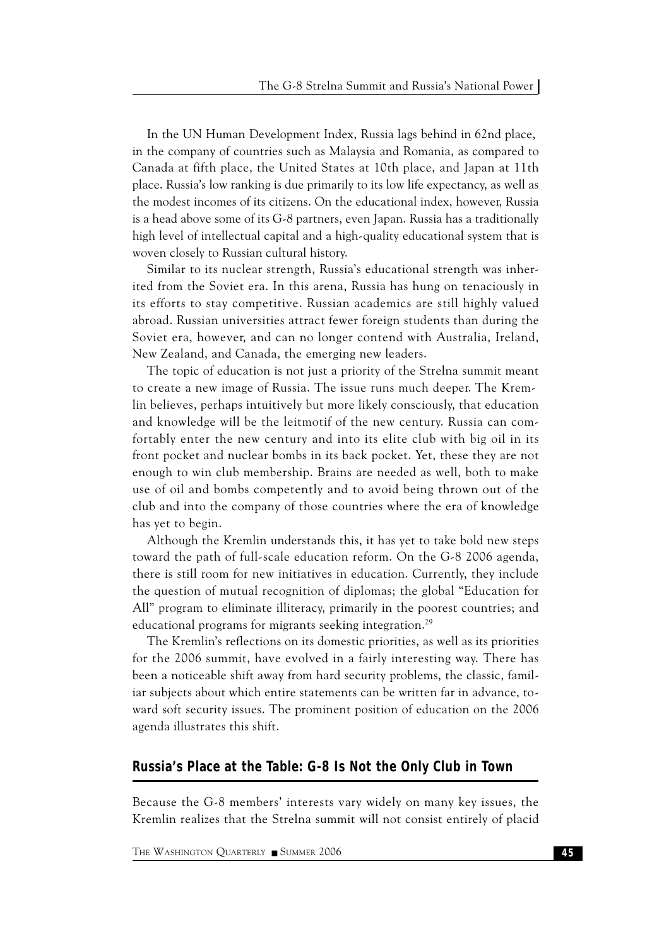In the UN Human Development Index, Russia lags behind in 62nd place, in the company of countries such as Malaysia and Romania, as compared to Canada at fifth place, the United States at 10th place, and Japan at 11th place. Russia's low ranking is due primarily to its low life expectancy, as well as the modest incomes of its citizens. On the educational index, however, Russia is a head above some of its G-8 partners, even Japan. Russia has a traditionally high level of intellectual capital and a high-quality educational system that is woven closely to Russian cultural history.

Similar to its nuclear strength, Russia's educational strength was inherited from the Soviet era. In this arena, Russia has hung on tenaciously in its efforts to stay competitive. Russian academics are still highly valued abroad. Russian universities attract fewer foreign students than during the Soviet era, however, and can no longer contend with Australia, Ireland, New Zealand, and Canada, the emerging new leaders.

The topic of education is not just a priority of the Strelna summit meant to create a new image of Russia. The issue runs much deeper. The Kremlin believes, perhaps intuitively but more likely consciously, that education and knowledge will be the leitmotif of the new century. Russia can comfortably enter the new century and into its elite club with big oil in its front pocket and nuclear bombs in its back pocket. Yet, these they are not enough to win club membership. Brains are needed as well, both to make use of oil and bombs competently and to avoid being thrown out of the club and into the company of those countries where the era of knowledge has yet to begin.

Although the Kremlin understands this, it has yet to take bold new steps toward the path of full-scale education reform. On the G-8 2006 agenda, there is still room for new initiatives in education. Currently, they include the question of mutual recognition of diplomas; the global "Education for All" program to eliminate illiteracy, primarily in the poorest countries; and educational programs for migrants seeking integration.<sup>29</sup>

The Kremlin's reflections on its domestic priorities, as well as its priorities for the 2006 summit, have evolved in a fairly interesting way. There has been a noticeable shift away from hard security problems, the classic, familiar subjects about which entire statements can be written far in advance, toward soft security issues. The prominent position of education on the 2006 agenda illustrates this shift.

### **Russia's Place at the Table: G-8 Is Not the Only Club in Town**

Because the G-8 members' interests vary widely on many key issues, the Kremlin realizes that the Strelna summit will not consist entirely of placid

THE WASHINGTON QUARTERLY **BUMMER 2006**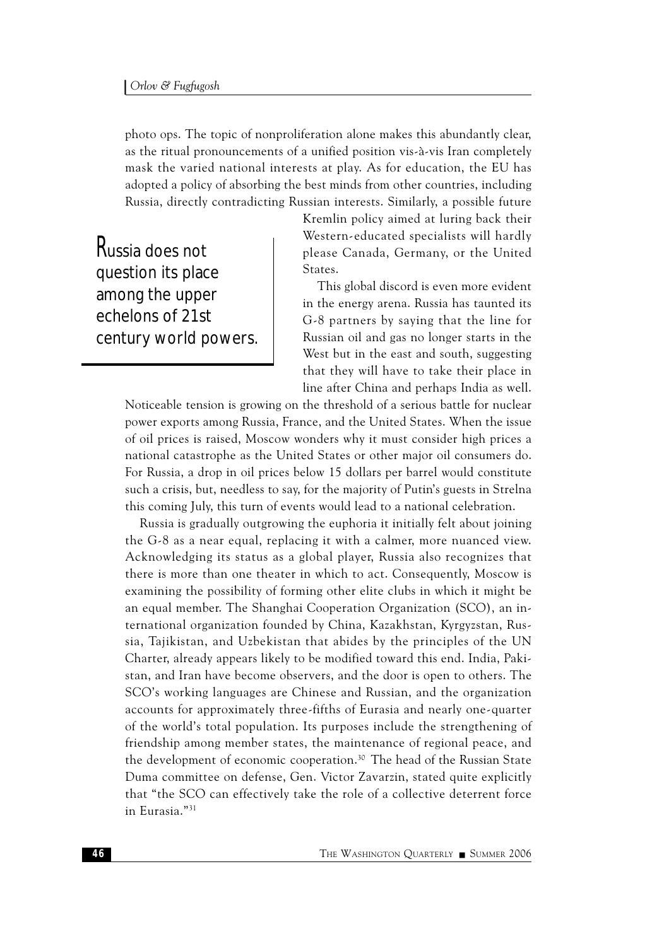photo ops. The topic of nonproliferation alone makes this abundantly clear, as the ritual pronouncements of a unified position vis-à-vis Iran completely mask the varied national interests at play. As for education, the EU has adopted a policy of absorbing the best minds from other countries, including Russia, directly contradicting Russian interests. Similarly, a possible future

Russia does not question its place among the upper echelons of 21st century world powers. Kremlin policy aimed at luring back their Western-educated specialists will hardly please Canada, Germany, or the United States.

This global discord is even more evident in the energy arena. Russia has taunted its G-8 partners by saying that the line for Russian oil and gas no longer starts in the West but in the east and south, suggesting that they will have to take their place in line after China and perhaps India as well.

Noticeable tension is growing on the threshold of a serious battle for nuclear power exports among Russia, France, and the United States. When the issue of oil prices is raised, Moscow wonders why it must consider high prices a national catastrophe as the United States or other major oil consumers do. For Russia, a drop in oil prices below 15 dollars per barrel would constitute such a crisis, but, needless to say, for the majority of Putin's guests in Strelna this coming July, this turn of events would lead to a national celebration.

Russia is gradually outgrowing the euphoria it initially felt about joining the G-8 as a near equal, replacing it with a calmer, more nuanced view. Acknowledging its status as a global player, Russia also recognizes that there is more than one theater in which to act. Consequently, Moscow is examining the possibility of forming other elite clubs in which it might be an equal member. The Shanghai Cooperation Organization (SCO), an international organization founded by China, Kazakhstan, Kyrgyzstan, Russia, Tajikistan, and Uzbekistan that abides by the principles of the UN Charter, already appears likely to be modified toward this end. India, Pakistan, and Iran have become observers, and the door is open to others. The SCO's working languages are Chinese and Russian, and the organization accounts for approximately three-fifths of Eurasia and nearly one-quarter of the world's total population. Its purposes include the strengthening of friendship among member states, the maintenance of regional peace, and the development of economic cooperation.<sup>30</sup> The head of the Russian State Duma committee on defense, Gen. Victor Zavarzin, stated quite explicitly that "the SCO can effectively take the role of a collective deterrent force in Eurasia."31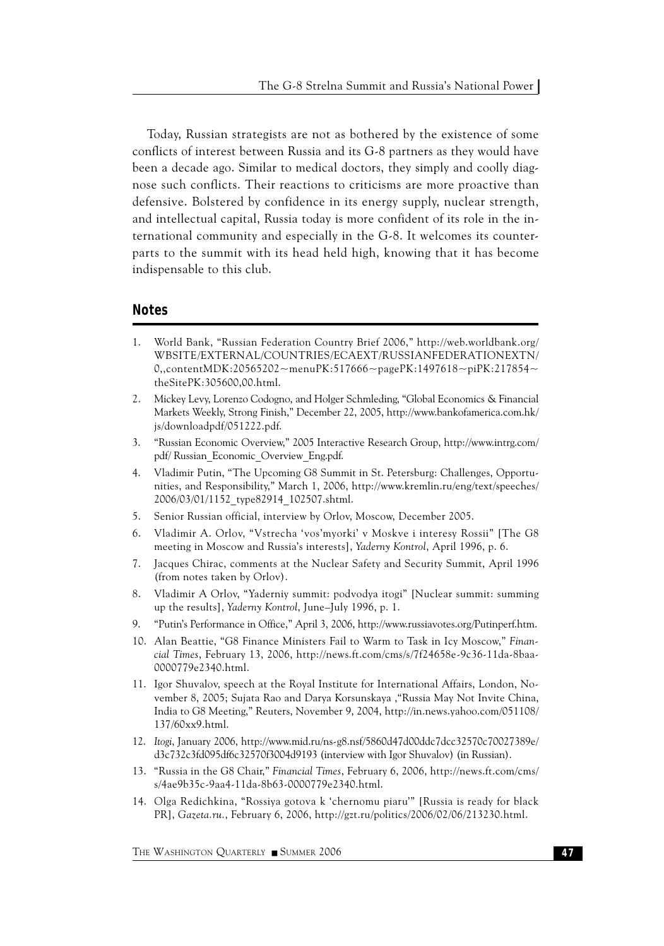Today, Russian strategists are not as bothered by the existence of some conflicts of interest between Russia and its G-8 partners as they would have been a decade ago. Similar to medical doctors, they simply and coolly diagnose such conflicts. Their reactions to criticisms are more proactive than defensive. Bolstered by confidence in its energy supply, nuclear strength, and intellectual capital, Russia today is more confident of its role in the international community and especially in the G-8. It welcomes its counterparts to the summit with its head held high, knowing that it has become indispensable to this club.

## **Notes**

- 1. World Bank, "Russian Federation Country Brief 2006," http://web.worldbank.org/ WBSITE/EXTERNAL/COUNTRIES/ECAEXT/RUSSIANFEDERATIONEXTN/ 0,,contentMDK:20565202~menuPK:517666~pagePK:1497618~piPK:217854~ theSitePK:305600,00.html.
- 2. Mickey Levy, Lorenzo Codogno, and Holger Schmleding, "Global Economics & Financial Markets Weekly, Strong Finish," December 22, 2005, http://www.bankofamerica.com.hk/ js/downloadpdf/051222.pdf.
- 3. "Russian Economic Overview," 2005 Interactive Research Group, http://www.intrg.com/ pdf/ Russian\_Economic\_Overview\_Eng.pdf.
- 4. Vladimir Putin, "The Upcoming G8 Summit in St. Petersburg: Challenges, Opportunities, and Responsibility," March 1, 2006, http://www.kremlin.ru/eng/text/speeches/ 2006/03/01/1152\_type82914\_102507.shtml.
- 5. Senior Russian official, interview by Orlov, Moscow, December 2005.
- 6. Vladimir A. Orlov, "Vstrecha 'vos'myorki' v Moskve i interesy Rossii" [The G8 meeting in Moscow and Russia's interests], *Yaderny Kontrol*, April 1996, p. 6.
- 7. Jacques Chirac, comments at the Nuclear Safety and Security Summit, April 1996 (from notes taken by Orlov).
- 8. Vladimir A Orlov, "Yaderniy summit: podvodya itogi" [Nuclear summit: summing up the results], *Yaderny Kontrol*, June–July 1996, p. 1.
- 9. "Putin's Performance in Office," April 3, 2006, http://www.russiavotes.org/Putinperf.htm.
- 10. Alan Beattie, "G8 Finance Ministers Fail to Warm to Task in Icy Moscow," *Financial Times*, February 13, 2006, http://news.ft.com/cms/s/7f24658e-9c36-11da-8baa-0000779e2340.html.
- 11. Igor Shuvalov, speech at the Royal Institute for International Affairs, London, November 8, 2005; Sujata Rao and Darya Korsunskaya ,"Russia May Not Invite China, India to G8 Meeting," Reuters, November 9, 2004, http://in.news.yahoo.com/051108/ 137/60xx9.html.
- 12. *Itogi*, January 2006, http://www.mid.ru/ns-g8.nsf/5860d47d00ddc7dcc32570c70027389e/ d3c732c3fd095df6c32570f3004d9193 (interview with Igor Shuvalov) (in Russian).
- 13. "Russia in the G8 Chair," *Financial Times*, February 6, 2006, http://news.ft.com/cms/ s/4ae9b35c-9aa4-11da-8b63-0000779e2340.html.
- 14. Olga Redichkina, "Rossiya gotova k 'chernomu piaru'" [Russia is ready for black PR], *Gazeta.ru.*, February 6, 2006, http://gzt.ru/politics/2006/02/06/213230.html.

THE WASHINGTON QUARTERLY **BUMMER 2006**